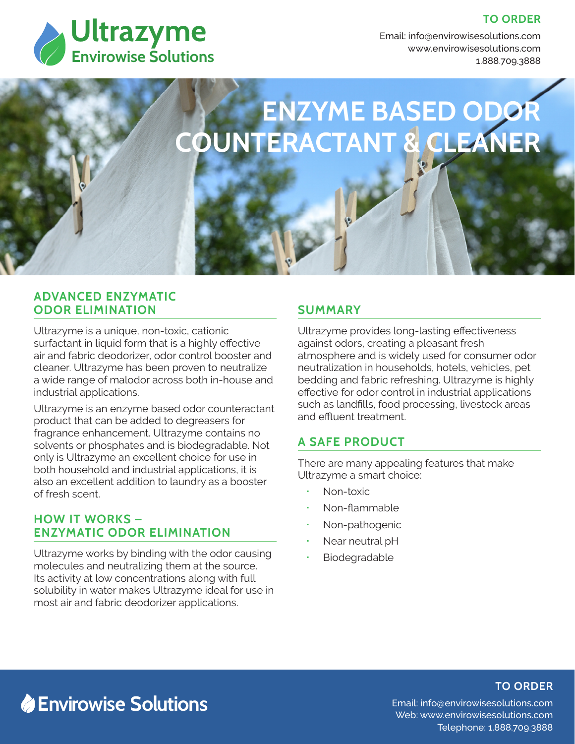

**TO ORDER** 

Email: info@envirowisesolutions.com Web: www.envirowisesolutions.com 1.888.709.3888

# **ENZYME BASED ODOR COUNTERACTANT & CLEANER**

### **ADVANCED ENZYMATIC ODOR ELIMINATION**

Ultrazyme is a unique, non-toxic, cationic surfactant in liquid form that is a highly effective air and fabric deodorizer, odor control booster and cleaner. Ultrazyme has been proven to neutralize a wide range of malodor across both in-house and industrial applications.

Ultrazyme is an enzyme based odor counteractant product that can be added to degreasers for fragrance enhancement. Ultrazyme contains no solvents or phosphates and is biodegradable. Not only is Ultrazyme an excellent choice for use in both household and industrial applications, it is also an excellent addition to laundry as a booster of fresh scent.

## **HOW IT WORKS – ENZYMATIC ODOR ELIMINATION**

Ultrazyme works by binding with the odor causing molecules and neutralizing them at the source. Its activity at low concentrations along with full solubility in water makes Ultrazyme ideal for use in most air and fabric deodorizer applications.

# **SUMMARY**

Ultrazyme provides long-lasting effectiveness against odors, creating a pleasant fresh atmosphere and is widely used for consumer odor neutralization in households, hotels, vehicles, pet bedding and fabric refreshing. Ultrazyme is highly effective for odor control in industrial applications such as landfills, food processing, livestock areas and effluent treatment.

# **A SAFE PRODUCT**

There are many appealing features that make Ultrazyme a smart choice:

- Non-toxic
- Non-flammable
- Non-pathogenic
- Near neutral pH
- Biodegradable

# **Envirowise Solutions**

# **TO ORDER**

Email: info@envirowisesolutions.com Web: www.envirowisesolutions.com Telephone: 1.888.709.3888